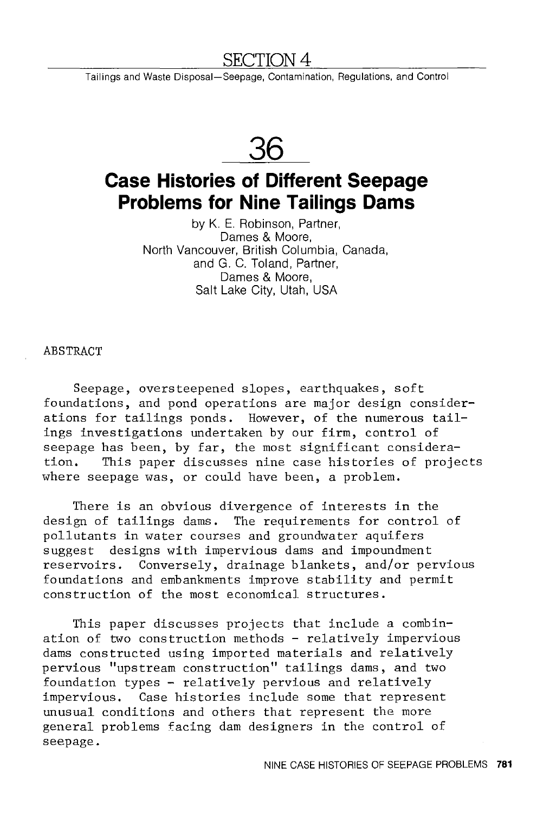## SECTION 4

Tailings and Waste Disposal-Seepage, Contamination, Regulations, and Control

**36** 

# **Case Histories of Different Seepage Problems for Nine Tailings Dams**

by K. E. Robinson, Partner, Dames & Moore, North Vancouver, British Columbia, Canada, and G. C. Toland, Partner, Dames & Moore, Salt Lake City, Utah, USA

ABSTRACT

Seepage, oversteepened slopes, earthquakes, soft foundations, and pond operations are major design considerations for tailings ponds. However, of the numerous tailings investigations undertaken by our firm, control of seepage has been, by far, the most significant consideration. This paper discusses nine case histories of projects where seepage was, or could have been, a problem.

There is an obvious divergence of interests in the design of tailings dams. The requirements for control of pollutants in water courses and groundwater aquifers suggest designs with impervious dams and impoundment reservoirs. Conversely, drainage blankets, and/or pervious foundations and embankments improve stability and permit construction of the most economical structures.

This paper discusses projects that include a combination of two construction methods - relatively impervious dams constructed using imported materials and relatively pervious "upstream construction" tailings dams, and two foundation types - relatively pervious and relatively impervious. Case histories include some that represent unusual conditions and others that represent the more general problems facing dam designers in the control of seepage.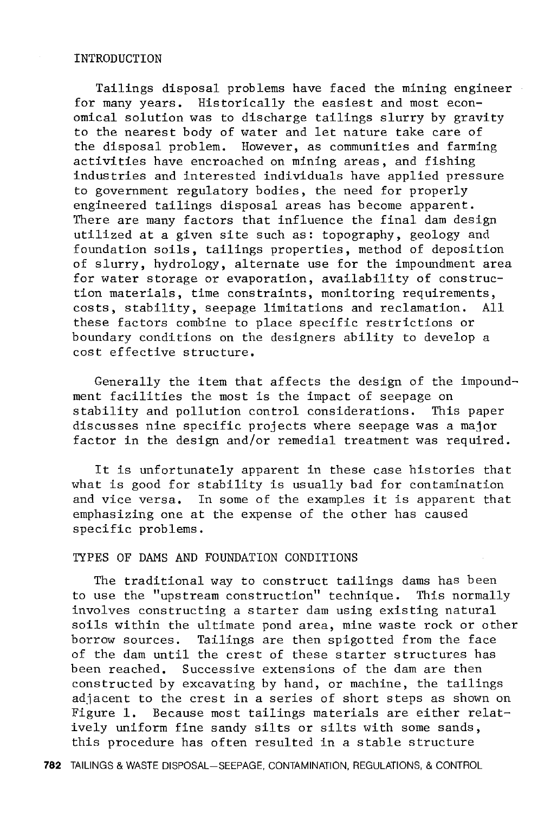#### INTRODUCTION

Tailings disposal problems have faced the mining engineer for many years. Historically the easiest and most economical solution was to discharge tailings slurry by gravity to the nearest body of water and let nature take care of the disposal problem. However, as communities and farming activities have encroached on mining areas, and fishing industries and interested individuals have applied pressure to government regulatory bodies, the need for properly engineered tailings disposal areas has become apparent. There are many factors that influence the final dam design utilized at a given site such as: topography, geology and foundation soils, tailings properties, method of deposition of slurry, hydrology, alternate use for the impoundment area for water storage or evaporation, availability of construction materials, time constraints, monitoring requirements, costs, stability, seepage limitations and reclamation. All these factors combine to place specific restrictions or boundary conditions on the designers ability to develop a cost effective structure.

Generally the item that affects the design of the impoundment facilities the most is the impact of seepage on stability and pollution control considerations. This paper discusses nine specific projects where seepage was a major factor in the design and/or remedial treatment was required.

It is unfortunately apparent in these case histories that what is good for stability is usually bad for contamination and vice versa. In some of the examples it is apparent that emphasizing one at the expense of the other has caused specific problems.

## TYPES OF DAMS AND FOUNDATION CONDITIONS

The traditional way to construct tailings dams has been to use the "upstream construction" technique. This normally involves constructing a starter dam using existing natural soils within the ultimate pond area, mine waste rock or other borrow sources. Tailings are then spigotted from the face of the dam until the crest of these starter structures has been reached. Successive extensions of the dam are then constructed by excavating by hand, or machine, the tailings adjacent to the crest in a series of short steps as shown on Figure 1. Because most tailings materials are either relatively uniform fine sandy silts or silts with some sands, this procedure has often resulted in a stable structure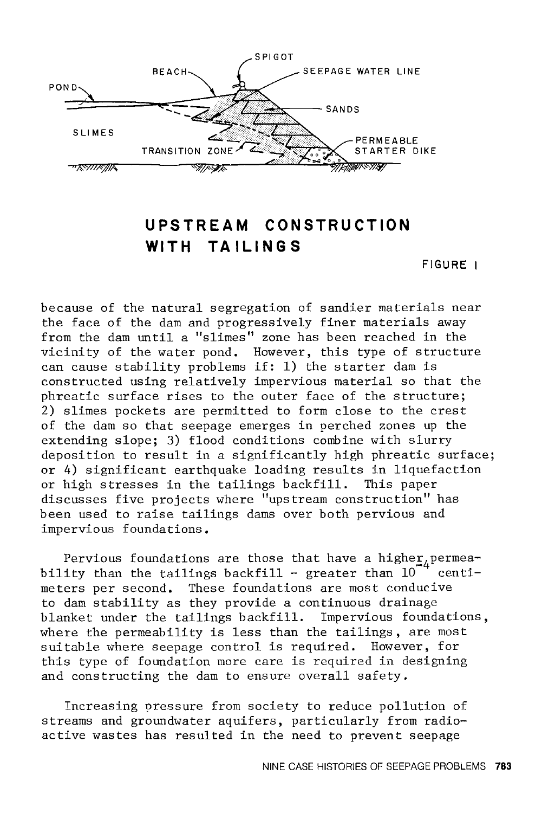

## **UPSTREAM CONSTRUCTION**  WITH TAILINGS

**FIGURE I** 

because of the natural segregation of sandier materials near the face of the dam and progressively finer materials away from the dam until a "slimes" zone has been reached in the vicinity of the water pond. However, this type of structure can cause stability problems if: 1) the starter dam is constructed using relatively impervious material so that the phreatic surface rises to the outer face of the structure; 2) slimes pockets are permitted to form close to the crest of the dam so that seepage emerges in perched zones up the extending slope; 3) flood conditions combine with slurry deposition to result in a significantly high phreatic surface; or 4) significant earthquake loading results in liquefaction or high stresses in the tailings backfill. This paper discusses five projects where "upstream construction" has been used to raise tailings dams over both pervious and impervious foundations.

Pervious foundations are those that have a higher  $4^{n}$  continuation of  $10^{-4}$  continuations in  $10^{-4}$  continuations in  $10^{-4}$  continuations in  $10^{-4}$  continuations in  $10^{-4}$  continuations in  $10^{-4}$  continuations i bility than the tailings backfill - greater than  $10^{-4}$  centimeters per second. These foundations are most conducive to dam stability as they provide a continuous drainage blanket under the tailings backfill. Impervious foundations, where the permeability is less than the tailings, are most suitable where seepage control is required. However, for this type of foundation more care is required in designing and constructing the dam to ensure overall safety.

Increasing pressure from society to reduce pollution of streams and groundwater aquifers, particularly from radioactive wastes has resulted in the need to prevent seepage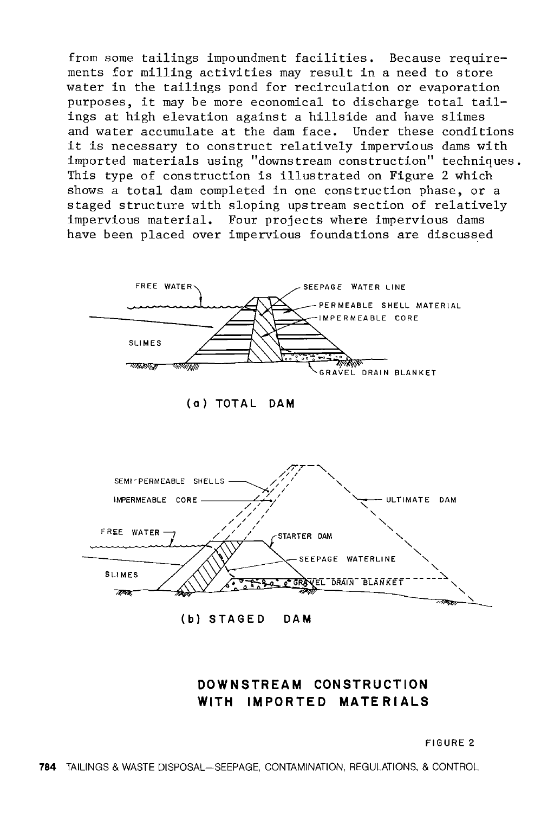from some tailings impoundment facilities. Because requirements for milling activities may result in a need to store water in the tailings pond for recirculation or evaporation purposes, it may be more economical to discharge total tailings at high elevation against a hillside and have slimes and water accumulate at the dam face. Under these conditions it is necessary to construct relatively impervious dams with imported materials using "downstream construction" techniques. This type of construction is illustrated on Figure 2 which shows a total dam completed in one construction phase, or a staged structure with sloping upstream section of relatively impervious material. Four projects where impervious dams have been placed over impervious foundations are discussed



(a ) **TOT AL DAM** 



## **DOWNSTREAM CONSTRUCTION WITH IMPORTED MATERIALS**

FIGURE 2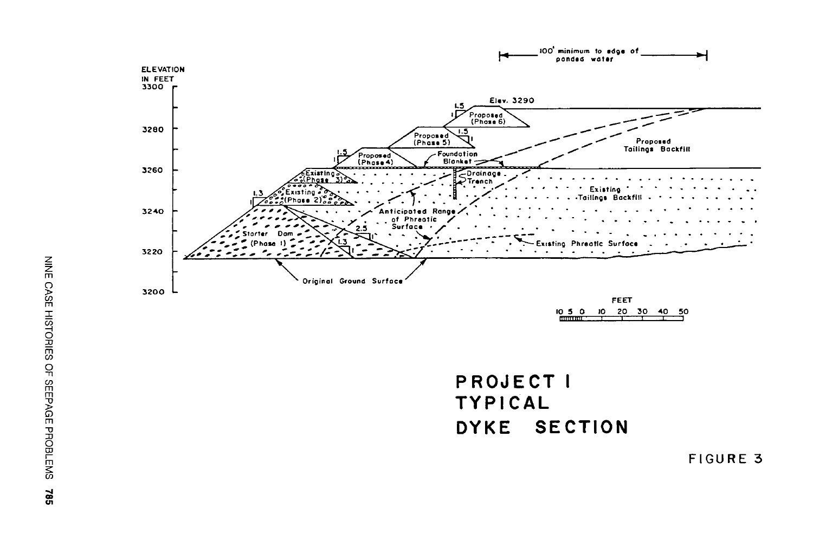

PROJECT I TYPICAL DYKE SECTION

FIGURE 3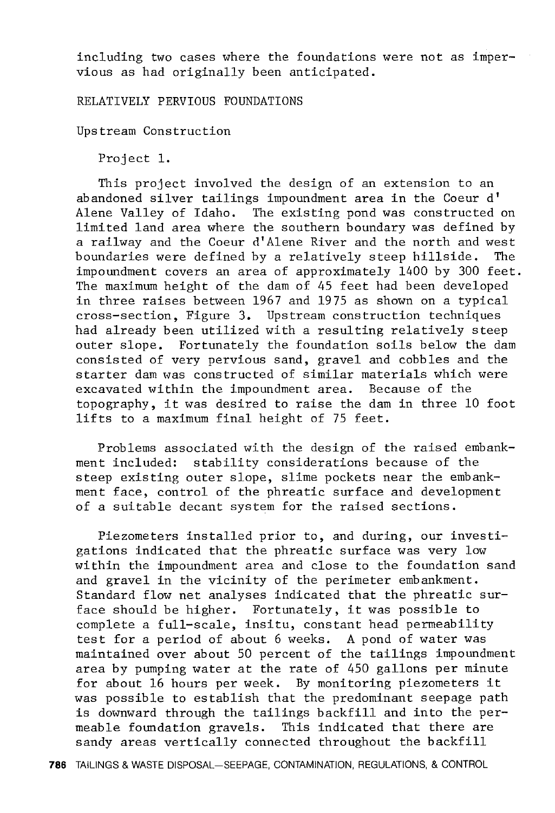including two cases where the foundations were not as impervious as had originally been anticipated.

RELATIVELY PERVIOUS FOUNDATIONS

Upstream Construction

Project 1.

This project involved the design of an extension to an abandoned silver tailings impoundment area in the Coeur d' Alene Valley of Idaho. The existing pond was constructed on limited land area where the southern boundary was defined by a railway and the Coeur d'Alene River and the north and west boundaries were defined by a relatively steep hillside. The impoundment covers an area of approximately 1400 by 300 feet. The maximum height of the dam of 45 feet had been developed in three raises between 1967 and 1975 as shown on a typical cross-section, Figure 3. Upstream construction techniques had already been utilized with a resulting relatively steep outer slope. Fortunately the foundation soils below the dam consisted of very pervious sand, gravel and cobbles and the starter dam was constructed of similar materials which were excavated within the impoundment area. Because of the topography, it was desired to raise the dam in three 10 foot lifts to a maximum final height of 75 feet.

Problems associated with the design of the raised embankment included: stability considerations because of the steep existing outer slope, slime pockets near the embankment face, control of the phreatic surface and development of a suitable decant system for the raised sections.

Piezometers installed prior to, and during, our investigations indicated that the phreatic surface was very low within the impoundment area and close to the foundation sand and gravel in the vicinity of the perimeter embankment. Standard flow net analyses indicated that the phreatic surface should be higher. Fortunately, it was possible to complete a full-scale, insitu, constant head permeability test for a period of about 6 weeks. A pond of water was maintained over about 50 percent of the tailings impoundment area by pumping water at the rate of 450 gallons per minute for about 16 hours per week. By monitoring piezometers it was possible to establish that the predominant seepage path is downward through the tailings backfill and into the permeable foundation gravels. This indicated that there are sandy areas vertically connected throughout the backfill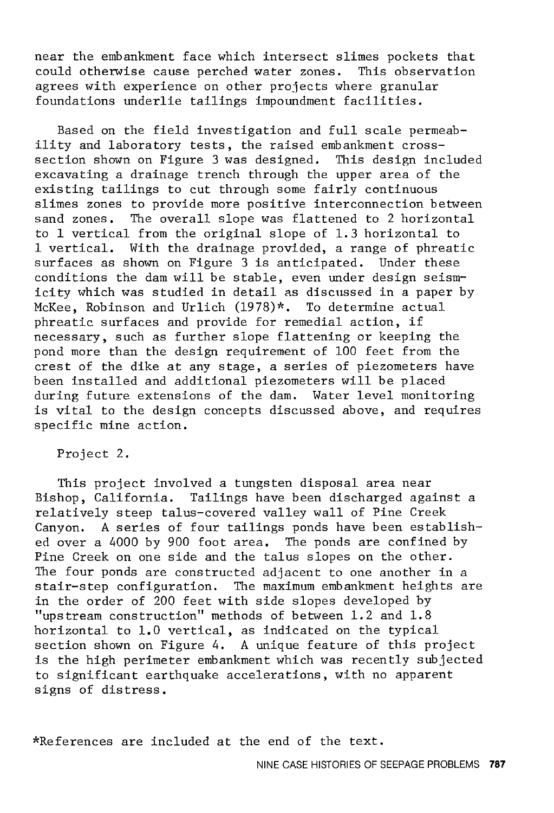near the embankment face which intersect slimes pockets that<br>could otherwise cause perched water zones. This observation could otherwise cause perched water zones. agrees with experience on other projects where granular foundations underlie tailings impoundment facilities.

Based on the field investigation and full scale permeability and laboratory tests, the raised embankment crosssection shown on Figure 3 was designed. This design included excavating a drainage trench through the upper area of the existing tailings to cut through some fairly continuous slimes zones to provide more positive interconnection between sand zones. The overall slope was flattened to 2 horizontal to 1 vertical from the original slope of 1.3 horizontal to 1 vertical. With the drainage provided, a range of phreatic surfaces as shown on Figure 3 is anticipated. Under these conditions the dam will be stable, even under design seismicity which was studied in detail as discussed in a paper by McKee, Robinson and Urlich (1978)\*. To determine actual phreatic surfaces and provide for remedial action, if necessary, such as further slope flattening or keeping the pond more than the design requirement of 100 feet from the crest of the dike at any stage, a series of piezometers have been installed and additional piezometers will be placed during future extensions of the dam. Water level monitoring is vital to the design concepts discussed above, and requires specific mine action.

Project 2.

This project involved a tungsten disposal area near Bishop, California. Tailings have been discharged against a relatively steep talus-covered valley wall of Pine Creek Canyon. A series of four tailings ponds have been established over a 4000 by 900 foot area. The ponds are confined by Pine Creek on one side and the talus slopes on the other. The four ponds are constructed adjacent to one another in a stair-step configuration. The maximum embankment heights are in the order of 200 feet with side slopes developed by "upstream construction" methods of between 1. 2 and 1. 8 horizontal to 1.0 vertical, as indicated on the typical section shown on Figure 4. A unique feature of this project is the high perimeter embankment which was recently subjected to significant earthquake accelerations, with no apparent signs of distress,

\*References are included at the end of the text.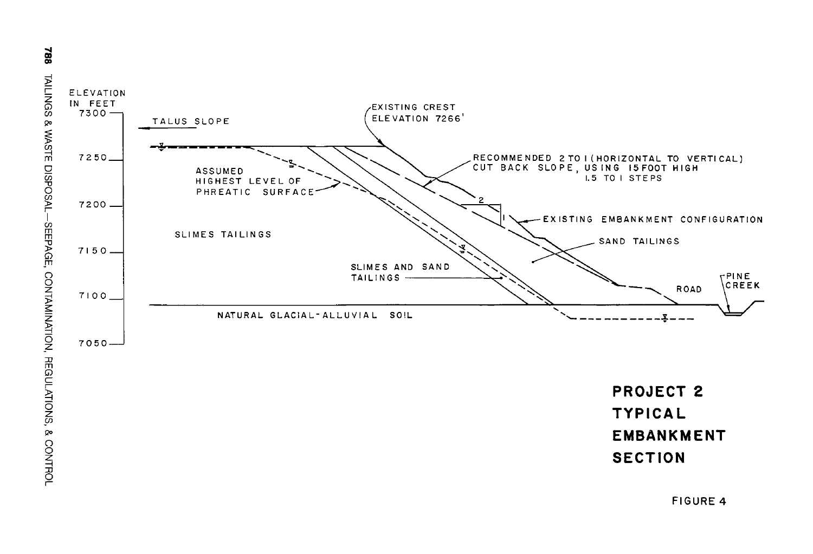



**FIGURE 4**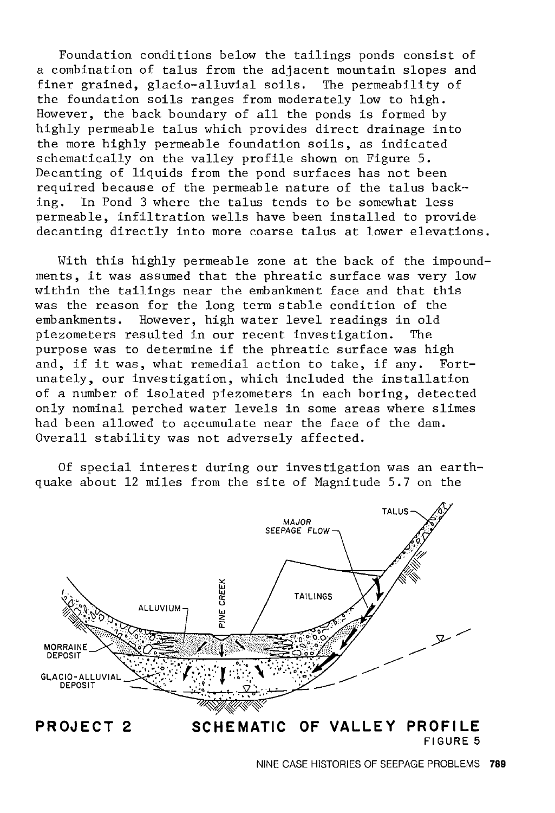Foundation conditions below the tailings ponds consist of a combination of talus from the adjacent mountain slopes and finer grained, glacio-alluvial soils. The permeability of the foundation soils ranges from moderately low to high. However, the back boundary of all the ponds is formed by highly permeable talus which provides direct drainage into the more highly permeable foundation soils, as indicated schematically on the valley profile shown on Figure 5. Decanting of liquids from the pond surfaces has not been required because of the permeable nature of the talus backing. In Pond 3 where the talus tends to be somewhat less permeable, infiltration wells have been installed to provide decanting directly into more coarse talus at lower elevations.

With this highly permeable zone at the back of the impoundments, it was assumed that the phreatic surface was very low within the tailings near the embankment face and that this was the reason for the long term stable condition of the embankments. However, high water level readings in old piezometers resulted in our recent investigation. The purpose was to determine if the phreatic surface was high and, if it was, what remedial action to take, if any. Fortunately, our investigation, which included the installation of a number of isolated piezometers in each boring, detected only nominal perched water levels in some areas where slimes had been allowed to accumulate near the face of the dam. Overall stability was not adversely affected.

Of special interest during our investigation was an earthquake about 12 miles from the site of Magnitude 5.7 on the

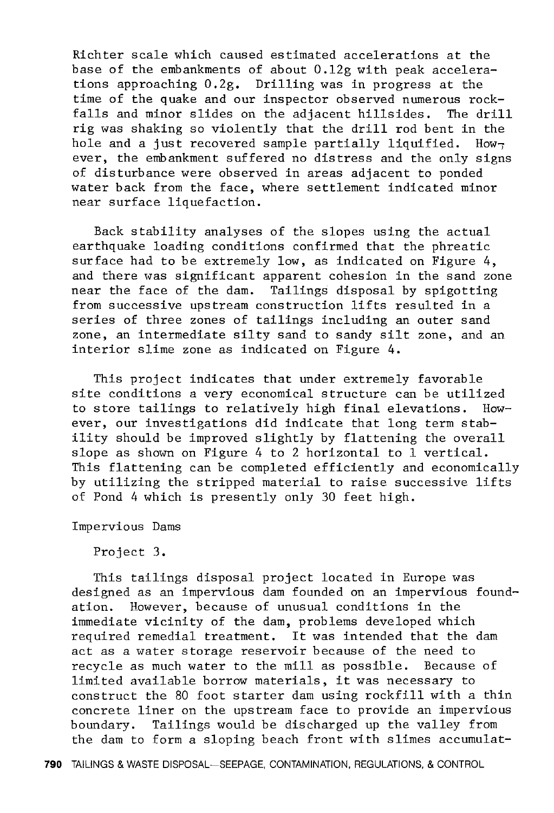Richter scale which caused estimated accelerations at the base of the embankments of about 0.12g with peak accelerations approaching 0.2g. Drilling was in progress at the time of the quake and our inspector observed numerous rock-<br>falls and minor slides on the adiacent hillsides. The drill falls and minor slides on the adjacent hillsides. rig was shaking so violently that the drill rod bent in the hole and a just recovered sample partially liquified. However, the embankment suffered no distress and the only signs of disturbance were observed in areas adjacent to ponded water back from the face, where settlement indicated minor near surface liquefaction.

Back stability analyses of the slopes using the actual earthquake loading conditions confirmed that the phreatic surface had to be extremely low, as indicated on Figure 4, and there was significant apparent cohesion in the sand zone near the face of the dam. Tailings disposal by spigotting from successive upstream construction lifts resulted in a series of three zones of tailings including an outer sand zone, an intermediate silty sand to sandy silt zone, and an interior slime zone as indicated on Figure 4.

This project indicates that under extremely favorable site conditions a very economical structure can be utilized to store tailings to relatively high final elevations. However, our investigations did indicate that long term stability should be improved slightly by flattening the overall slope as shown on Figure 4 to 2 horizontal to 1 vertical. This flattening can be completed efficiently and economically by utilizing the stripped material to raise successive lifts of Pond 4 which is presently only 30 feet high.

Impervious Dams

Project 3.

This tailings disposal project located in Europe was designed as an impervious dam founded on an impervious foundation. However, because of unusual conditions in the immediate vicinity of the dam, problems developed which required remedial treatment. It was intended that the dam act as a water storage reservoir because of the need to recycle as much water to the mill as possible. Because of limited available borrow materials, it was necessary to construct the 80 foot starter dam using rockfill with a thin concrete liner on the upstream face to provide an impervious boundary. Tailings would be discharged up the valley from the dam to form a sloping beach front with slimes accumulat-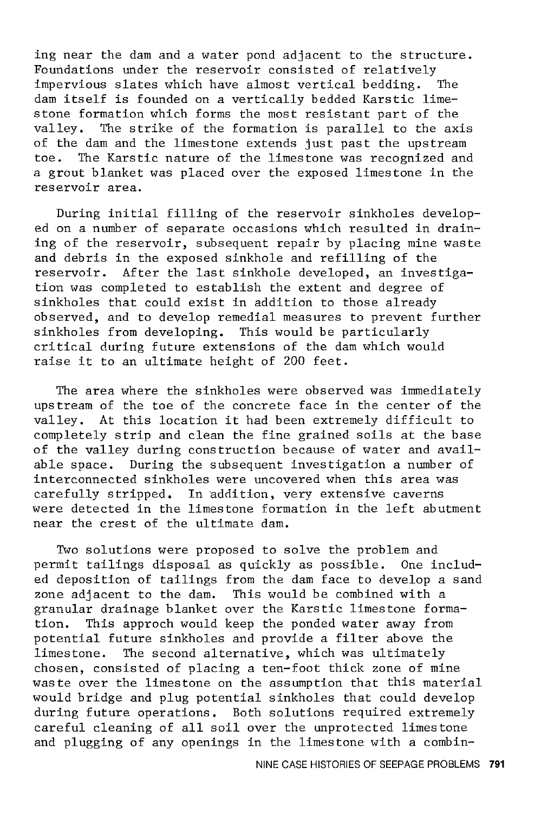ing near the dam and a water pond adjacent to the structure. Foundations under the reservoir consisted of relatively impervious slates which have almost vertical bedding. The dam itself is founded on a vertically bedded Karstic limestone formation which forms the most resistant part of the valley. The strike of the formation is parallel to the ax The strike of the formation is parallel to the axis of the dam and the limestone extends just past the upstream<br>toe. The Karstic pature of the limestone was recognized and The Karstic nature of the limestone was recognized and a grout blanket was placed over the exposed limestone in the reservoir area.

During initial filling of the reservoir sinkholes developed on a number of separate occasions which resulted in draining of the reservoir, subsequent repair by placing mine waste and debris in the exposed sinkhole and refilling of the After the last sinkhole developed, an investigation was completed to establish the extent and degree of sinkholes that could exist in addition to those already observed, and to develop remedial measures to prevent further sinkholes from developing. This would be particularly critical during future extensions of the dam which would raise it to an ultimate height of 200 feet.

The area where the sinkholes were observed was immediately upstream of the toe of the concrete face in the center of the valley. At this location it had been extremely difficult to completely strip and clean the fine grained soils at the base of the valley during construction because of water and available space. During the subsequent investigation a number of interconnected sinkholes were uncovered when this area was carefully stripped. In addition, very extensive caverns were detected in the limestone formation in the left abutment near the crest of the ultimate dam.

Two solutions were proposed to solve the problem and permit tailings disposal as quickly as possible. One included deposition of tailings from the dam face to develop a sand zone adjacent to the dam. This would be combined with a granular drainage blanket over the Karstic limestone formation. This approch would keep the ponded water away from potential future sinkholes and provide a filter above the limestone. The second alternative, which was ultimately chosen, consisted of placing a ten-foot thick zone of mine waste over the limestone on the assumption that this material would bridge and plug potential sinkholes that could develop during future operations. Both solutions required extremely careful cleaning of all soil over the unprotected limestone and plugging of any openings in the limestone with a combin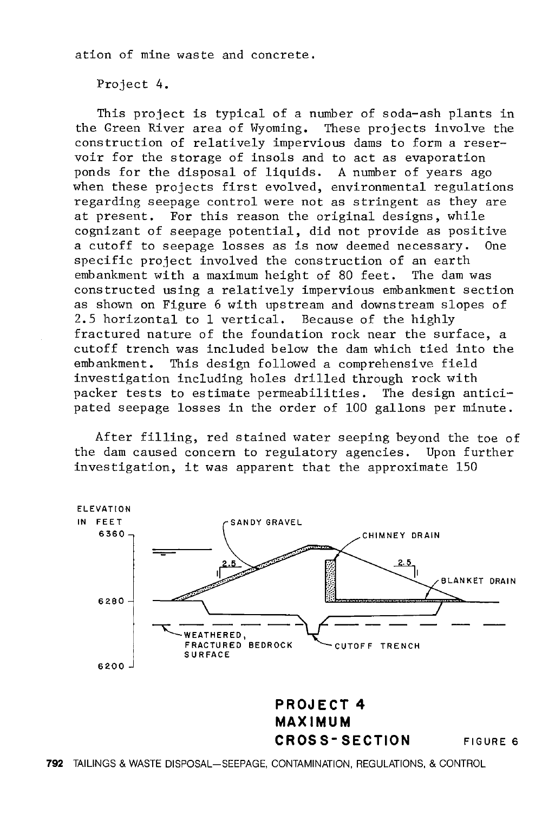ation of mine waste and concrete.

Project 4.

This project is typical of a number of soda-ash plants in the Green River area of Wyoming. These projects involve the construction of relatively impervious dams to form a reservoir for the storage of insols and to act as evaporation ponds for the disposal of liquids. A number of years ago when these projects first evolved, environmental regulations regarding seepage control were not as stringent as they are at present. For this reason the original designs, while cognizant of seepage potential, did not provide as positive a cutoff to seepage losses as is now deemed necessary. One specific project involved the construction of an earth<br>embankment with a maximum height of 80 feet. The dam was embankment with a maximum height of 80 feet. constructed using a relatively impervious embankment section as shown on Figure 6 with upstream and downstream slopes of 2.5 horizontal to 1 vertical. Because of the highly fractured nature of the foundation rock near the surface, a cutoff trench was included below the dam which tied into the embankment. This design followed a comprehensive field investigation including holes drilled through rock with packer tests to estimate permeabilities. The design anticipated seepage losses in the order of 100 gallons per minute.

After filling, red stained water seeping beyond the toe of the dam caused concern to regulatory agencies. Upon further investigation, it was apparent that the approximate 150

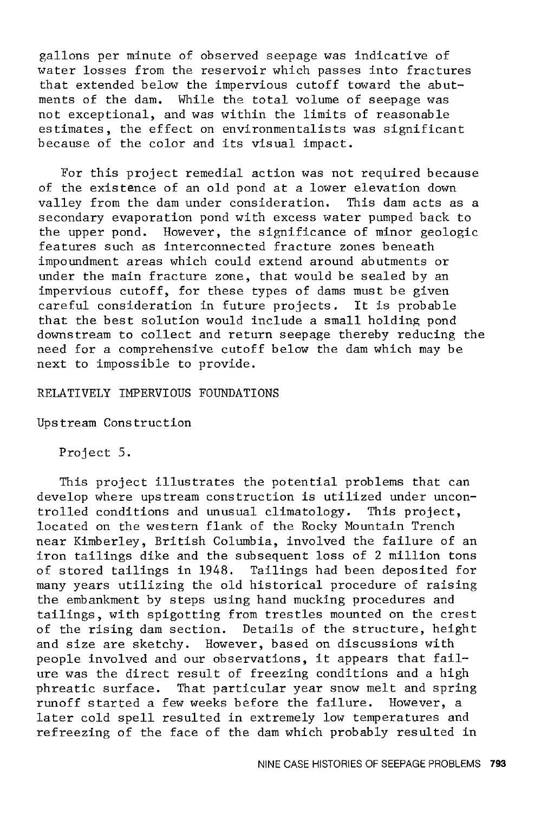gallons per minute of observed seepage was indicative of water losses from the reservoir which passes into fractures that extended below the impervious cutoff toward the abutments of the dam. While the total volume of seepage was not exceptional, and was within the limits of reasonable estimates, the effect on environmentalists was significant because of the color and its visual impact.

For this project remedial action was not required because of the existence of an old pond at a lower elevation down valley from the dam under consideration. This dam acts as a secondary evaporation pond with excess water pumped back to the upper pond. However, the significance of minor geologic features such as interconnected fracture zones beneath impoundment areas which could extend around abutments or under the main fracture zone, that would be sealed by an impervious cutoff, for these types of dams must be given careful consideration in future projects. It is probable that the best solution would include a small holding pond downstream to collect and return seepage thereby reducing the need for a comprehensive cutoff below the dam which may be next to impossible to provide.

## RELATIVELY IMPERVIOUS FOUNDATIONS

Upstream Construction

Project 5.

This project illustrates the potential problems that can develop where upstream construction is utilized under uncontrolled conditions and unusual climatology. This project, located on the western flank of the Rocky Mountain Trench near Kimberley, British Columbia, involved the failure of an iron tailings dike and the subsequent loss of 2 million tons of stored tailings in 1948. Tailings had been deposited for many years utilizing the old historical procedure of raising the embankment by steps using hand mucking procedures and tailings, with spigotting from trestles mounted on the crest of the rising dam section. Details of the structure, height and size are sketchy. However, based on discussions with people involved and our observations, it appears that failure was the direct result of freezing conditions and a high phreatic surface. That particular year snow melt and spring runoff started a few weeks before the failure. However, a later cold spell resulted in extremely low temperatures and refreezing of the face of the dam which probably resulted in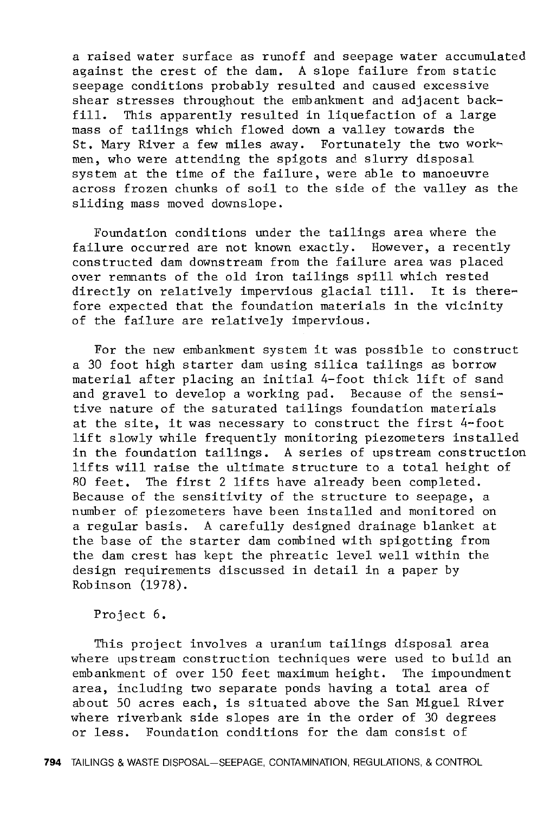a raised water surface as runoff and seepage water accumulated against the crest of the dam. A slope failure from static seepage conditions probably resulted and caused excessive shear stresses throughout the embankment and adjacent back-<br>fill. This apparently resulted in liquefaction of a large This apparently resulted in liquefaction of a large mass of tailings which flowed down a valley towards the St. Mary River a few miles away. Fortunately the two work~ men, who were attending the spigots and slurry disposal system at the time of the failure, were able to manoeuvre across frozen chunks of soil to the side of the valley as the sliding mass moved downslope.

Foundation conditions under the tailings area where the failure occurred are not known exactly. However, a recently constructed dam downstream from the failure area was placed over renmants of the old iron tailings spill which rested directly on relatively impervious glacial till. It is therefore expected that the foundation materials in the vicinity of the failure are relatively impervious.

For the new embankment system it was possible to construct a 30 foot high starter dam using silica tailings as borrow material after placing an initial 4-foot thick lift of sand and gravel to develop a working pad. Because of the sensitive nature of the saturated tailings foundation materials at the site, it was necessary to construct the first 4-foot lift slowly while frequently monitoring piezometers installed in the foundation tailings. A series of upstream construction lifts will raise the ultimate structure to a total height of 80 feet. The first 2 lifts have already been completed. Because of the sensitivity of the structure to seepage, a number of piezometers have been installed and monitored on a regular basis. A carefully designed drainage blanket at the base of the starter dam combined with spigotting from the dam crest has kept the phreatic level well within the design requirements discussed in detail in a paper by Robinson (1978).

Project 6.

This project involves a uranium tailings disposal area where upstream construction techniques were used to build an embankment of over 150 feet maximum height. The impoundment area, including two separate ponds having a total area of about 50 acres each, is situated above the San Miguel River where riverbank side slopes are in the order of 30 degrees or less. Foundation conditions for the dam consist of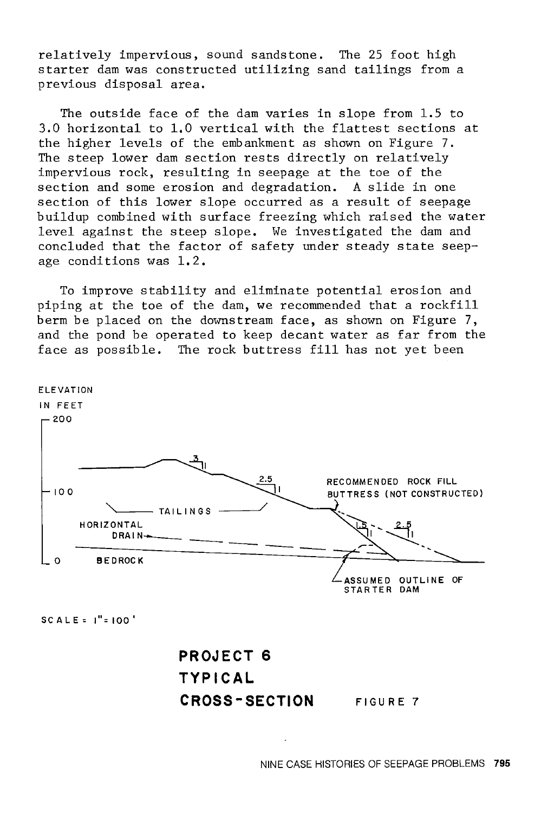relatively impervious, sound sandstone. The 25 foot high starter dam was constructed utilizing sand tailings from a previous disposal area.

The outside face of the dam varies in slope from 1.5 to 3.0 horizontal to 1.0 vertical with the flattest sections at the higher levels of the embankment as shown on Figure 7. The steep lower dam section rests directly on relatively impervious rock, resulting in seepage at the toe of the section and some erosion and degradation. A slide in one section of this lower slope occurred as a result of seepage buildup combined with surface freezing which raised the water level against the steep slope. We investigated the dam and concluded that the factor of safety under steady state seepage conditions was 1.2.

To improve stability and eliminate potential erosion and piping at the toe of the dam, we recommended that a rockfill berm be placed on the downstream face, as shown on Figure 7, and the pond be operated to keep decant water as far from the face as possible. The rock buttress fill has not yet been



SCALE= !"=100°

## **PROJECT 6 TYPICAL CROSS-SECTION**  FIGURE 7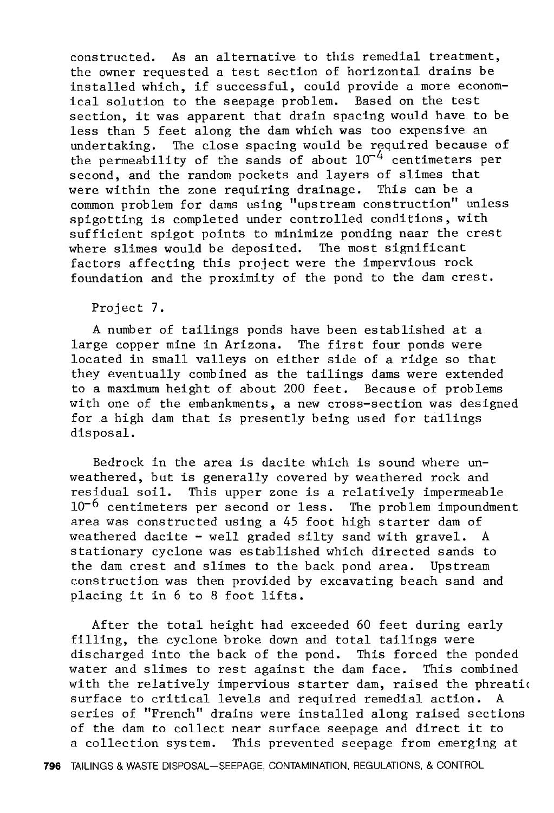constructed. As an alternative to this remedial treatment, the owner requested a test section of horizontal drains be installed which, if successful, could provide a more economical solution to the seepage problem. Based on the test section, it was apparent that drain spacing would have to be less than 5 feet along the dam which was too expensive an undertaking. The close spacing would be required because of the permeability of the sands of about  $10^{-4}$  centimeters per second, and the random pockets and layers of slimes that were within the zone requiring drainage. This can be a common problem for dams using "upstream construction" unless spigotting is completed under controlled conditions, with sufficient spigot points to minimize ponding near the crest where slimes would be deposited. The most significant factors affecting this project were the impervious rock foundation and the proximity of the pond to the dam crest.

Project 7.

A number of tailings ponds have been established at a large copper mine in Arizona. The first four ponds were located in small valleys on either side of a ridge so that they eventually combined as the tailings dams were extended to a maximum height of about 200 feet. Because of problems with one of the embankments, a new cross-section was designed for a high dam that is presently being used for tailings disposal.

Bedrock in the area is dacite which is sound where unweathered, but is generally covered by weathered rock and residual soil. This upper zone is a relatively impermeable  $10^{-6}$  centimeters per second or less. The problem impoundment area was constructed using a 45 foot high starter dam of weathered dacite - well graded silty sand with gravel. A stationary cyclone was established which directed sands to the dam crest and slimes to the back pond area. Upstream construction was then provided by excavating beach sand and placing it in 6 to 8 foot lifts.

After the total height had exceeded 60 feet during early filling, the cyclone broke down and total tailings were discharged into the back of the pond. This forced the ponded water and slimes to rest against the dam face. This combined with the relatively impervious starter dam, raised the phreation surface to critical levels and required remedial action. A series of "French" drains were installed along raised sections of the dam to collect near surface seepage and direct it to a collection system. This prevented seepage from emerging at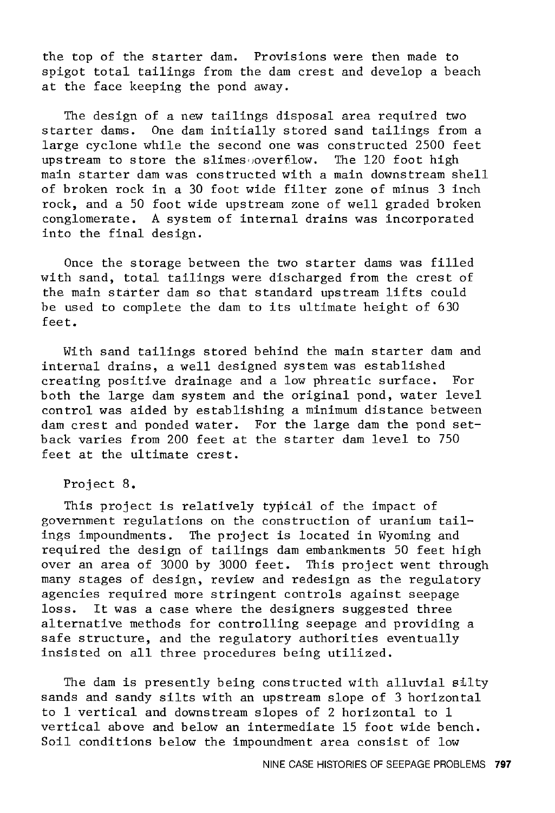the top of the starter dam. Provisions were then made to spigot total tailings from the dam crest and develop a beach at the face keeping the pond away.

The design of a new tailings disposal area required two starter dams. One dam initially stored sand tailings from a large cyclone while the second one was constructed 2500 feet<br>upstream to store the slimes overfilow. The 120 foot high upstream to store the slimes overfilow. main starter dam was constructed with a main downstream shell of broken rock in a 30 foot wide filter zone of minus 3 inch rock, and a 50 foot wide upstream zone of well graded broken conglomerate. A system of internal drains was incorporated into the final design.

Once the storage between the two starter dams was filled with sand, total tailings were discharged from the crest of the main starter dam so that standard upstream lifts could be used to complete the dam to its ultimate height of 630 feet.

With sand tailings stored behind the main starter dam and internal drains, a well designed system was established creating positive drainage and a low phreatic surface. For both the large dam system and the original pond, water level control was aided by establishing a minimum distance between dam crest and ponded water. For the large dam the pond setback varies from 200 feet at the starter dam level to 750 feet at the ultimate crest.

Project 8.

This project is relatively typical of the impact of government regulations on the construction of uranium tailings impoundments. The project is located in Wyoming and required the design of tailings dam embankments 50 feet high over an area of 3000 by 3000 feet. This project went through many stages of design, review and redesign as the regulatory agencies required more stringent controls against seepage loss. It was a case where the designers suggested three alternative methods for controlling seepage and providing a safe structure, and the regulatory authorities eventually insisted on all three procedures being utilized.

The dam is presently being constructed with alluvial silty sands and sandy silts with an upstream slope of 3 horizontal to 1 vertical and downstream slopes of 2 horizontal to 1 vertical above and below an intermediate 15 foot wide bench. Soil conditions below the impoundment area consist of low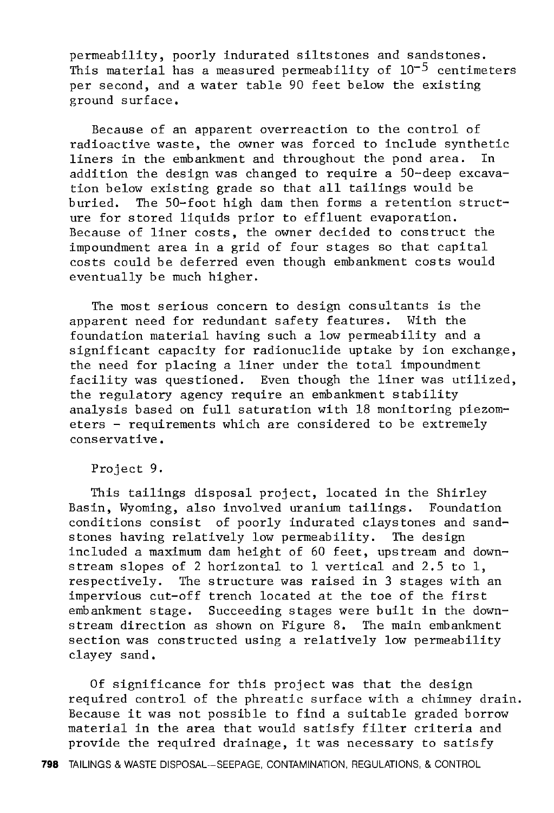permeability, poorly indurated siltstones and sandstones. This material has a measured permeability of  $10^{-5}$  centimeters per second, and a water table 90 feet below the existing ground surface.

Because of an apparent overreaction to the control of radioactive waste, the owner was forced to include synthetic<br>liners in the embankment and throughout the pond area. In liners in the embankment and throughout the pond area. addition the design was changed to require a 50-deep excavation below existing grade so that all tailings would be buried. The 50-foot high dam then forms a retention structure for stored liquids prior to effluent evaporation. Because of liner costs, the owner decided to construct the impoundment area in a grid of four stages so that capital costs could be deferred even though embankment costs would eventually be much higher.

The most serious concern to design consultants is the<br>arent need for redundant safety features. With the apparent need for redundant safety features. foundation material having such a low permeability and a significant capacity for radionuclide uptake by ion exchange, the need for placing a liner under the total impoundment facility was questioned. Even though the liner was utilized, the regulatory agency require an embankment stability analysis based on full saturation with 18 monitoring piezometers - requirements which are considered to be extremely conservative.

Project 9.

This tailings disposal project, located in the Shirley Basin, Wyoming, also involved uranium tailings. Foundation conditions consist of poorly indurated claystones and sandstones having relatively low permeability. The design included a maximum dam height of 60 feet, upstream and downstream slopes of 2 horizontal to 1 vertical and 2.5 to 1, respectively. The structure was raised in 3 stages with an impervious cut-off trench located at the toe of the first embankment stage. Succeeding stages were built in the downstream direction as shown on Figure 8. The main embankment section was constructed using a relatively low permeability clayey sand.

Of significance for this project was that the design required control of the phreatic surface with a chimney drain. Because it was not possible to find a suitable graded borrow material in the area that would satisfy filter criteria and provide the required drainage, it was necessary to satisfy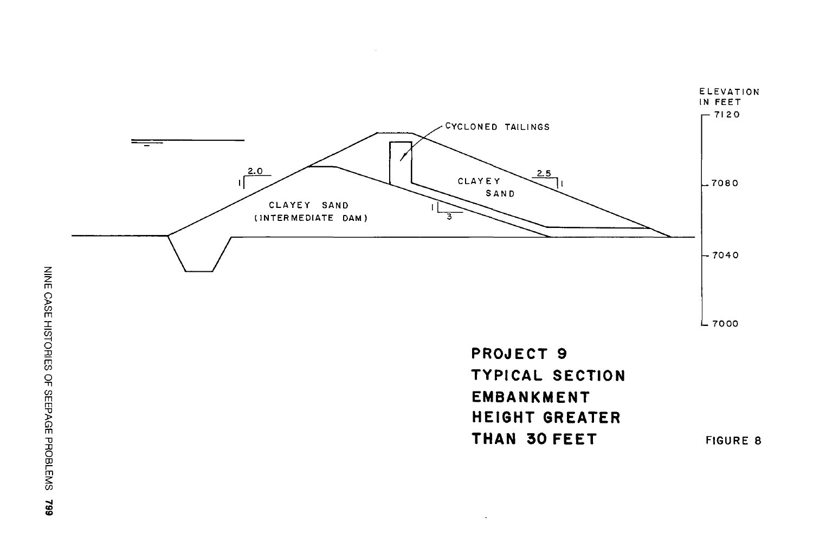